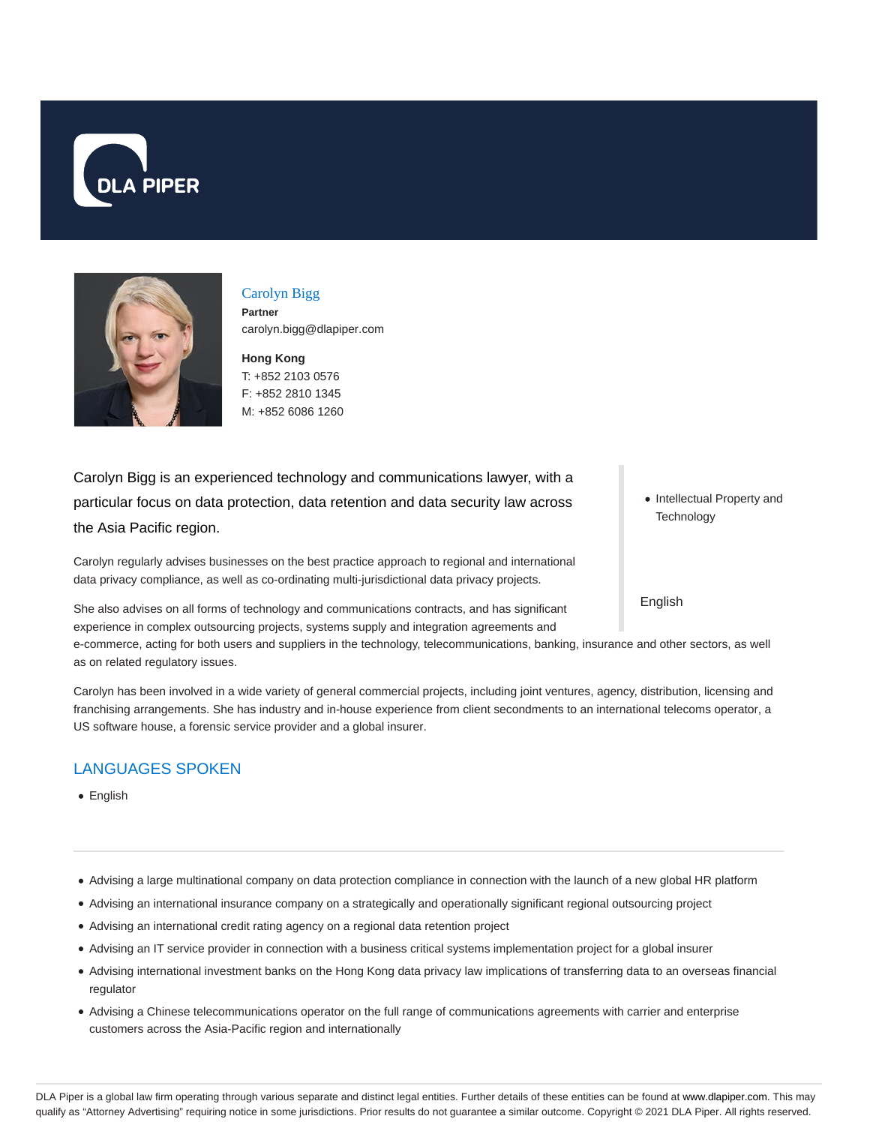



# Carolyn Bigg **Partner**

**Hong Kong** carolyn.bigg@dlapiper.com

T: +852 2103 0576 F: +852 2810 1345 M: +852 6086 1260

Carolyn Bigg is an experienced technology and communications lawyer, with a particular focus on data protection, data retention and data security law across the Asia Pacific region.

Carolyn regularly advises businesses on the best practice approach to regional and international data privacy compliance, as well as co-ordinating multi-jurisdictional data privacy projects.

She also advises on all forms of technology and communications contracts, and has significant experience in complex outsourcing projects, systems supply and integration agreements and

e-commerce, acting for both users and suppliers in the technology, telecommunications, banking, insurance and other sectors, as well as on related regulatory issues.

Carolyn has been involved in a wide variety of general commercial projects, including joint ventures, agency, distribution, licensing and franchising arrangements. She has industry and in-house experience from client secondments to an international telecoms operator, a US software house, a forensic service provider and a global insurer.

# LANGUAGES SPOKEN

- English
- Advising a large multinational company on data protection compliance in connection with the launch of a new global HR platform
- Advising an international insurance company on a strategically and operationally significant regional outsourcing project
- Advising an international credit rating agency on a regional data retention project
- Advising an IT service provider in connection with a business critical systems implementation project for a global insurer
- Advising international investment banks on the Hong Kong data privacy law implications of transferring data to an overseas financial regulator
- Advising a Chinese telecommunications operator on the full range of communications agreements with carrier and enterprise customers across the Asia-Pacific region and internationally

• Intellectual Property and **Technology** 

English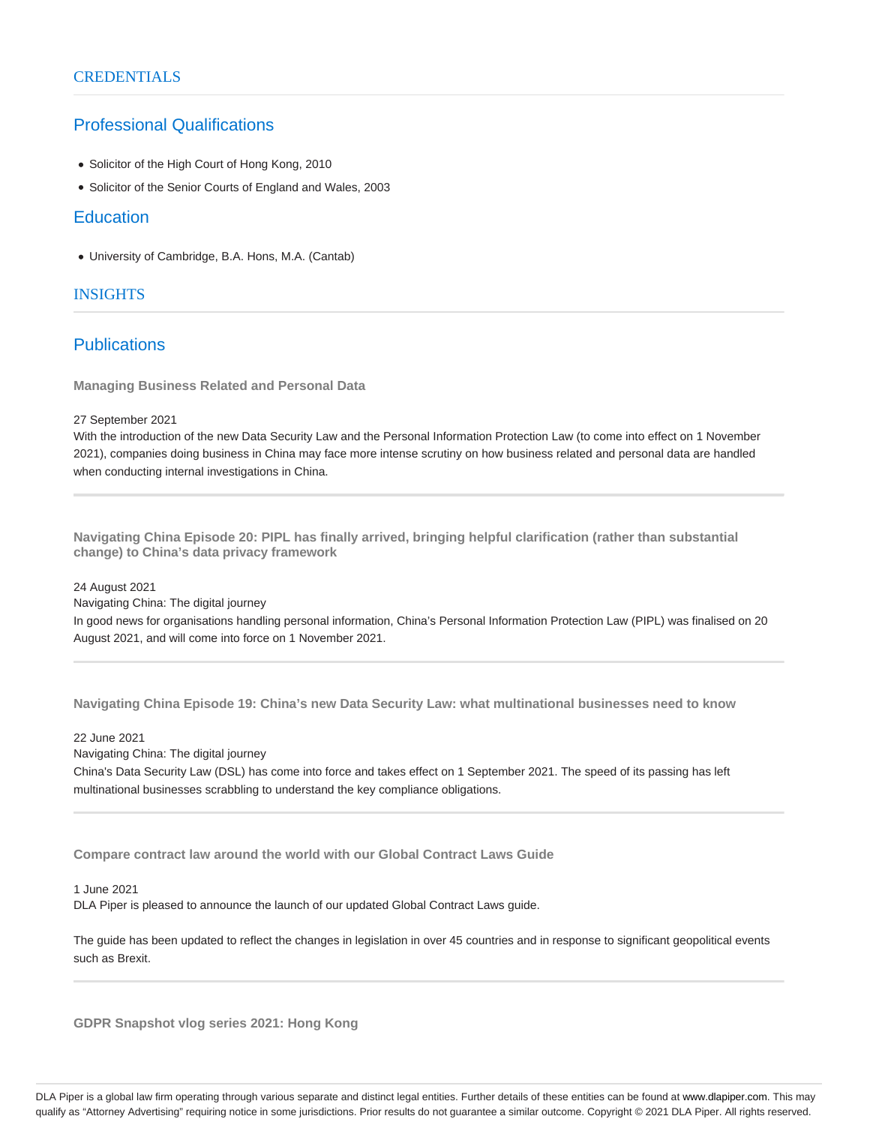## Professional Qualifications

- Solicitor of the High Court of Hong Kong, 2010
- Solicitor of the Senior Courts of England and Wales, 2003

### **Education**

University of Cambridge, B.A. Hons, M.A. (Cantab)

### **INSIGHTS**

## Publications

**Managing Business Related and Personal Data**

#### 27 September 2021

With the introduction of the new Data Security Law and the Personal Information Protection Law (to come into effect on 1 November 2021), companies doing business in China may face more intense scrutiny on how business related and personal data are handled when conducting internal investigations in China.

**Navigating China Episode 20: PIPL has finally arrived, bringing helpful clarification (rather than substantial change) to China's data privacy framework**

#### 24 August 2021

Navigating China: The digital journey

In good news for organisations handling personal information, China's Personal Information Protection Law (PIPL) was finalised on 20 August 2021, and will come into force on 1 November 2021.

**Navigating China Episode 19: China's new Data Security Law: what multinational businesses need to know**

#### 22 June 2021

Navigating China: The digital journey

China's Data Security Law (DSL) has come into force and takes effect on 1 September 2021. The speed of its passing has left multinational businesses scrabbling to understand the key compliance obligations.

**Compare contract law around the world with our Global Contract Laws Guide**

#### 1 June 2021

DLA Piper is pleased to announce the launch of our updated Global Contract Laws guide.

The guide has been updated to reflect the changes in legislation in over 45 countries and in response to significant geopolitical events such as Brexit.

**GDPR Snapshot vlog series 2021: Hong Kong**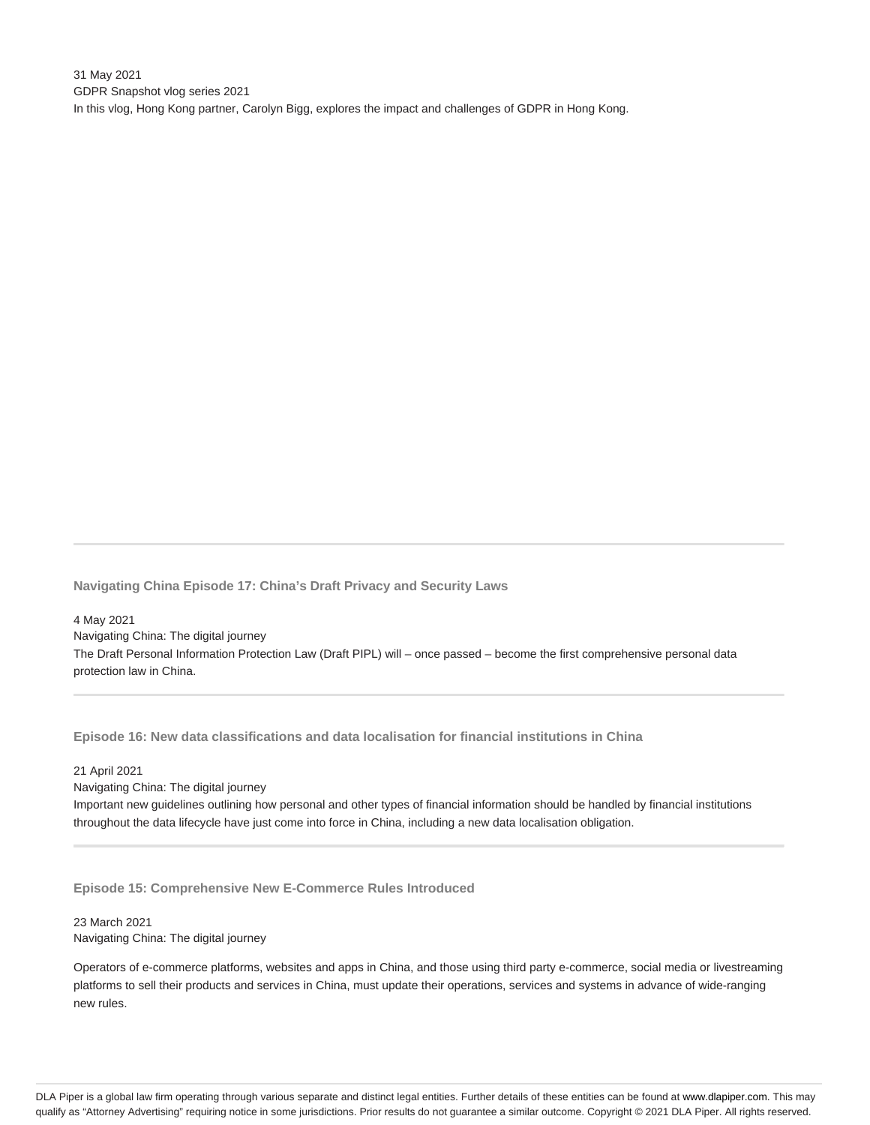31 May 2021 GDPR Snapshot vlog series 2021 In this vlog, Hong Kong partner, Carolyn Bigg, explores the impact and challenges of GDPR in Hong Kong.

**Navigating China Episode 17: China's Draft Privacy and Security Laws**

4 May 2021 Navigating China: The digital journey The Draft Personal Information Protection Law (Draft PIPL) will – once passed – become the first comprehensive personal data protection law in China.

**Episode 16: New data classifications and data localisation for financial institutions in China**

#### 21 April 2021

Navigating China: The digital journey Important new guidelines outlining how personal and other types of financial information should be handled by financial institutions throughout the data lifecycle have just come into force in China, including a new data localisation obligation.

**Episode 15: Comprehensive New E-Commerce Rules Introduced**

#### 23 March 2021 Navigating China: The digital journey

Operators of e-commerce platforms, websites and apps in China, and those using third party e-commerce, social media or livestreaming platforms to sell their products and services in China, must update their operations, services and systems in advance of wide-ranging new rules.

DLA Piper is a global law firm operating through various separate and distinct legal entities. Further details of these entities can be found at www.dlapiper.com. This may qualify as "Attorney Advertising" requiring notice in some jurisdictions. Prior results do not guarantee a similar outcome. Copyright © 2021 DLA Piper. All rights reserved.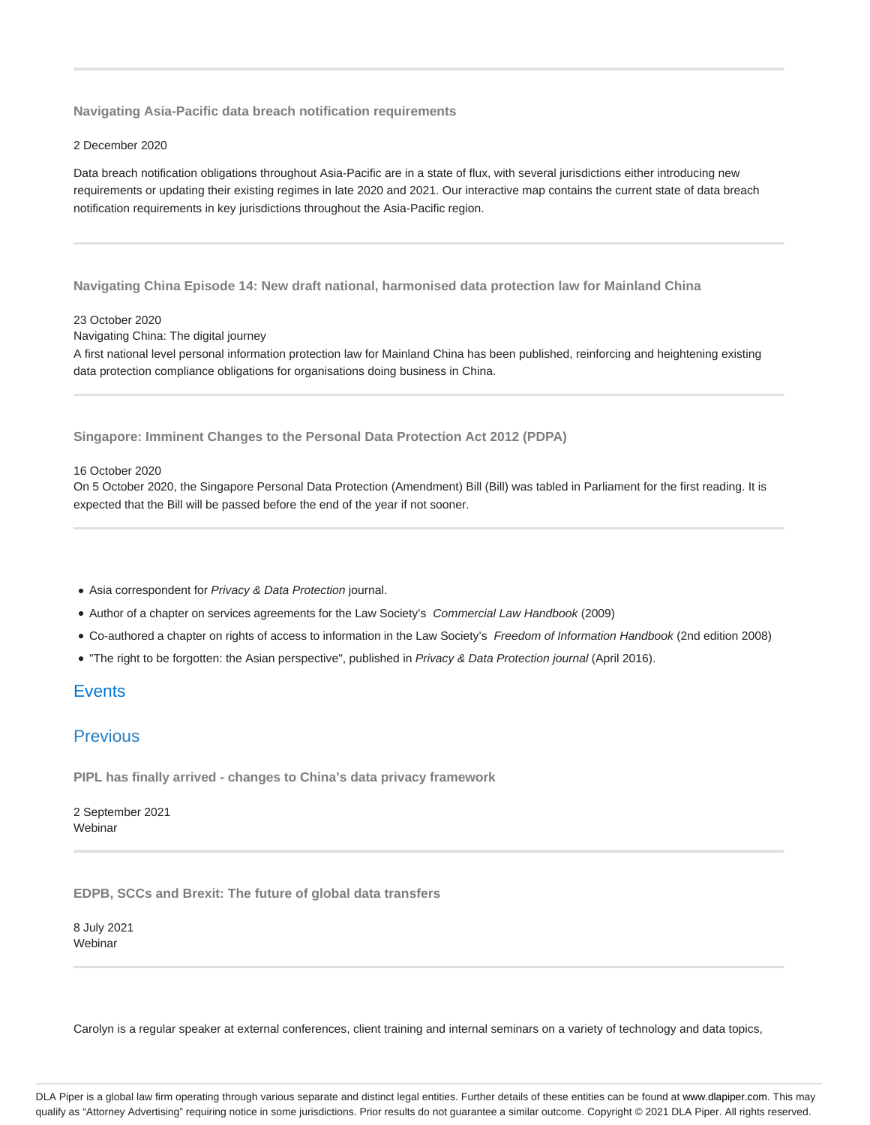**Navigating Asia-Pacific data breach notification requirements**

2 December 2020

Data breach notification obligations throughout Asia-Pacific are in a state of flux, with several jurisdictions either introducing new requirements or updating their existing regimes in late 2020 and 2021. Our interactive map contains the current state of data breach notification requirements in key jurisdictions throughout the Asia-Pacific region.

**Navigating China Episode 14: New draft national, harmonised data protection law for Mainland China**

#### 23 October 2020

Navigating China: The digital journey

A first national level personal information protection law for Mainland China has been published, reinforcing and heightening existing data protection compliance obligations for organisations doing business in China.

**Singapore: Imminent Changes to the Personal Data Protection Act 2012 (PDPA)**

#### 16 October 2020

On 5 October 2020, the Singapore Personal Data Protection (Amendment) Bill (Bill) was tabled in Parliament for the first reading. It is expected that the Bill will be passed before the end of the year if not sooner.

- Asia correspondent for Privacy & Data Protection journal.
- Author of a chapter on services agreements for the Law Society's Commercial Law Handbook (2009)
- Co-authored a chapter on rights of access to information in the Law Society's Freedom of Information Handbook (2nd edition 2008)
- . "The right to be forgotten: the Asian perspective", published in Privacy & Data Protection journal (April 2016).

## Events

### **Previous**

**PIPL has finally arrived - changes to China's data privacy framework**

2 September 2021 Webinar

**EDPB, SCCs and Brexit: The future of global data transfers**

8 July 2021 Webinar

Carolyn is a regular speaker at external conferences, client training and internal seminars on a variety of technology and data topics,

DLA Piper is a global law firm operating through various separate and distinct legal entities. Further details of these entities can be found at www.dlapiper.com. This may qualify as "Attorney Advertising" requiring notice in some jurisdictions. Prior results do not guarantee a similar outcome. Copyright @ 2021 DLA Piper. All rights reserved.